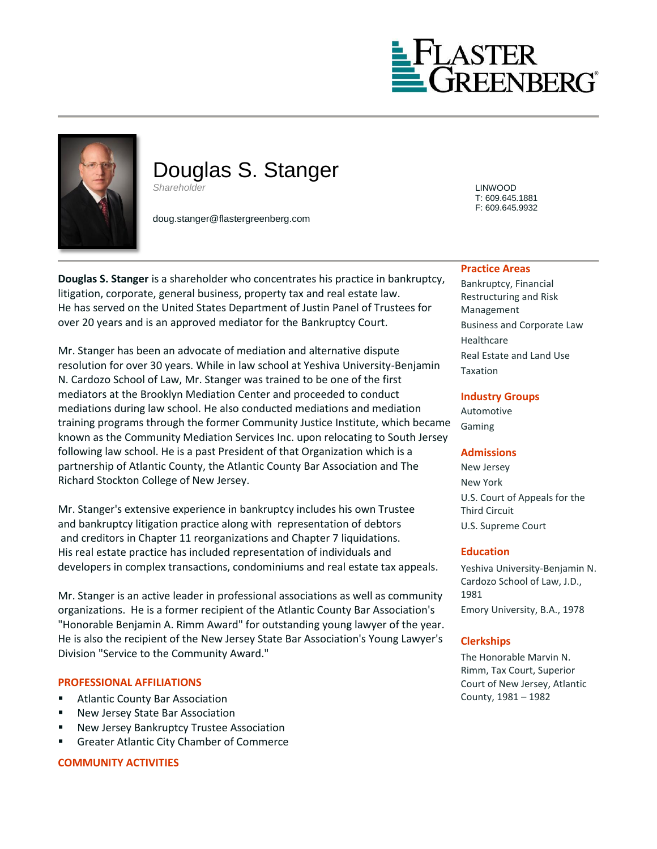



# Douglas S. Stanger *Shareholder* LINWOOD

doug.stanger@flastergreenberg.com

**Douglas S. Stanger** is a shareholder who concentrates his practice in bankruptcy, litigation, corporate, general business, property tax and real estate law. He has served on the United States Department of Justin Panel of Trustees for over 20 years and is an approved mediator for the Bankruptcy Court.

Mr. Stanger has been an advocate of mediation and alternative dispute resolution for over 30 years. While in law school at Yeshiva University-Benjamin N. Cardozo School of Law, Mr. Stanger was trained to be one of the first mediators at the Brooklyn Mediation Center and proceeded to conduct mediations during law school. He also conducted mediations and mediation training programs through the former Community Justice Institute, which became known as the Community Mediation Services Inc. upon relocating to South Jersey following law school. He is a past President of that Organization which is a partnership of Atlantic County, the Atlantic County Bar Association and The Richard Stockton College of New Jersey.

Mr. Stanger's extensive experience in bankruptcy includes his own Trustee and bankruptcy litigation practice along with representation of debtors and creditors in Chapter 11 reorganizations and Chapter 7 liquidations. His real estate practice has included representation of individuals and developers in complex transactions, condominiums and real estate tax appeals.

Mr. Stanger is an active leader in professional associations as well as community organizations. He is a former recipient of the Atlantic County Bar Association's "Honorable Benjamin A. Rimm Award" for outstanding young lawyer of the year. He is also the recipient of the New Jersey State Bar Association's Young Lawyer's Division "Service to the Community Award."

### **PROFESSIONAL AFFILIATIONS**

- **EXECOUNTY BAT Association**
- New Jersey State Bar Association
- New Jersey Bankruptcy Trustee Association
- Greater Atlantic City Chamber of Commerce

### **COMMUNITY ACTIVITIES**

T: 609.645.1881 F: 609.645.9932

#### **Practice Areas**

Bankruptcy, Financial Restructuring and Risk Management Business and Corporate Law Healthcare Real Estate and Land Use Taxation

### **Industry Groups**

Automotive Gaming

### **Admissions**

New Jersey New York U.S. Court of Appeals for the Third Circuit U.S. Supreme Court

### **Education**

Yeshiva University-Benjamin N. Cardozo School of Law, J.D., 1981 Emory University, B.A., 1978

### **Clerkships**

The Honorable Marvin N. Rimm, Tax Court, Superior Court of New Jersey, Atlantic County, 1981 – 1982